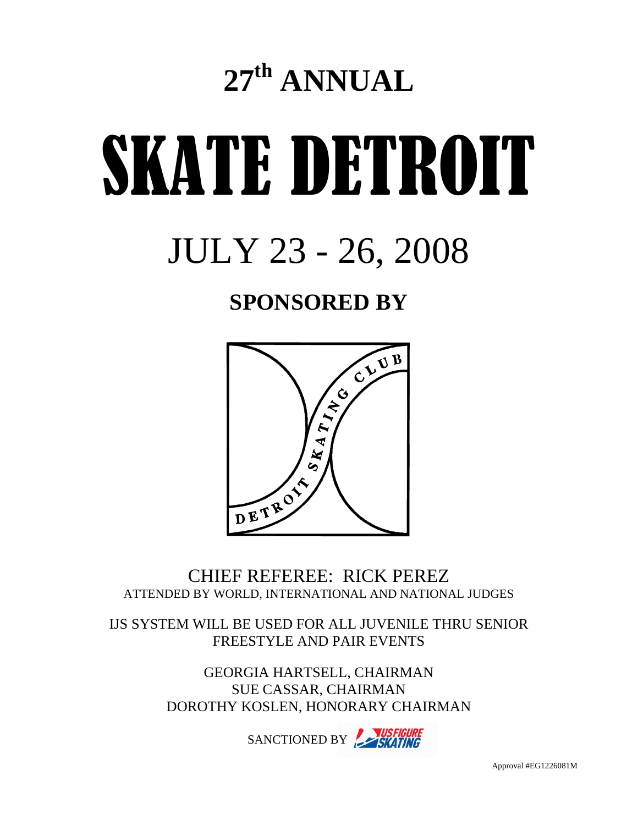# **27th ANNUAL**

# SKATE DETROIT

# JULY 23 - 26, 2008

# **SPONSORED BY**



CHIEF REFEREE: RICK PEREZ ATTENDED BY WORLD, INTERNATIONAL AND NATIONAL JUDGES

IJS SYSTEM WILL BE USED FOR ALL JUVENILE THRU SENIOR FREESTYLE AND PAIR EVENTS

> GEORGIA HARTSELL, CHAIRMAN SUE CASSAR, CHAIRMAN DOROTHY KOSLEN, HONORARY CHAIRMAN

> > SANCTIONED BY SKATING

Approval #EG1226081M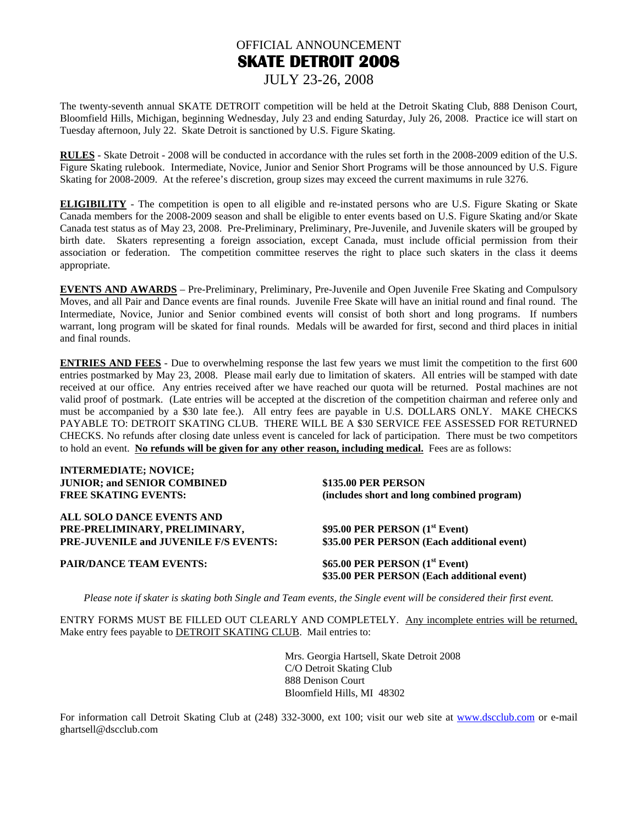#### OFFICIAL ANNOUNCEMENT **SKATE DETROIT 2008** JULY 23-26, 2008

The twenty-seventh annual SKATE DETROIT competition will be held at the Detroit Skating Club, 888 Denison Court, Bloomfield Hills, Michigan, beginning Wednesday, July 23 and ending Saturday, July 26, 2008. Practice ice will start on Tuesday afternoon, July 22. Skate Detroit is sanctioned by U.S. Figure Skating.

**RULES** - Skate Detroit - 2008 will be conducted in accordance with the rules set forth in the 2008-2009 edition of the U.S. Figure Skating rulebook. Intermediate, Novice, Junior and Senior Short Programs will be those announced by U.S. Figure Skating for 2008-2009. At the referee's discretion, group sizes may exceed the current maximums in rule 3276.

**ELIGIBILITY** - The competition is open to all eligible and re-instated persons who are U.S. Figure Skating or Skate Canada members for the 2008-2009 season and shall be eligible to enter events based on U.S. Figure Skating and/or Skate Canada test status as of May 23, 2008. Pre-Preliminary, Preliminary, Pre-Juvenile, and Juvenile skaters will be grouped by birth date. Skaters representing a foreign association, except Canada, must include official permission from their association or federation. The competition committee reserves the right to place such skaters in the class it deems appropriate.

**EVENTS AND AWARDS** – Pre-Preliminary, Preliminary, Pre-Juvenile and Open Juvenile Free Skating and Compulsory Moves, and all Pair and Dance events are final rounds. Juvenile Free Skate will have an initial round and final round. The Intermediate, Novice, Junior and Senior combined events will consist of both short and long programs. If numbers warrant, long program will be skated for final rounds. Medals will be awarded for first, second and third places in initial and final rounds.

**ENTRIES AND FEES** - Due to overwhelming response the last few years we must limit the competition to the first 600 entries postmarked by May 23, 2008. Please mail early due to limitation of skaters. All entries will be stamped with date received at our office. Any entries received after we have reached our quota will be returned. Postal machines are not valid proof of postmark. (Late entries will be accepted at the discretion of the competition chairman and referee only and must be accompanied by a \$30 late fee.). All entry fees are payable in U.S. DOLLARS ONLY. MAKE CHECKS PAYABLE TO: DETROIT SKATING CLUB. THERE WILL BE A \$30 SERVICE FEE ASSESSED FOR RETURNED CHECKS. No refunds after closing date unless event is canceled for lack of participation. There must be two competitors to hold an event. **No refunds will be given for any other reason, including medical.** Fees are as follows:

**INTERMEDIATE; NOVICE; JUNIOR; and SENIOR COMBINED \$135.00 PER PERSON<br>FREE SKATING EVENTS:** (includes short and long

**ALL SOLO DANCE EVENTS AND**  PRE-PRELIMINARY, PRELIMINARY, **PRE-JUVENILE and JUVENILE F/S EVENTS: \$35.00 PER PERSON (Each additional event)**

(includes short and long combined program) **\$95.00 PER PERSON (1<sup>st</sup> Event)** 

**PAIR/DANCE TEAM EVENTS:** \$65.00 PER PERSON (1<sup>st</sup> Event)

 **\$35.00 PER PERSON (Each additional event)** 

*Please note if skater is skating both Single and Team events, the Single event will be considered their first event.* 

ENTRY FORMS MUST BE FILLED OUT CLEARLY AND COMPLETELY. Any incomplete entries will be returned, Make entry fees payable to DETROIT SKATING CLUB. Mail entries to:

> Mrs. Georgia Hartsell, Skate Detroit 2008 C/O Detroit Skating Club 888 Denison Court Bloomfield Hills, MI 48302

For information call Detroit Skating Club at (248) 332-3000, ext 100; visit our web site at www.dscclub.com or e-mail ghartsell@dscclub.com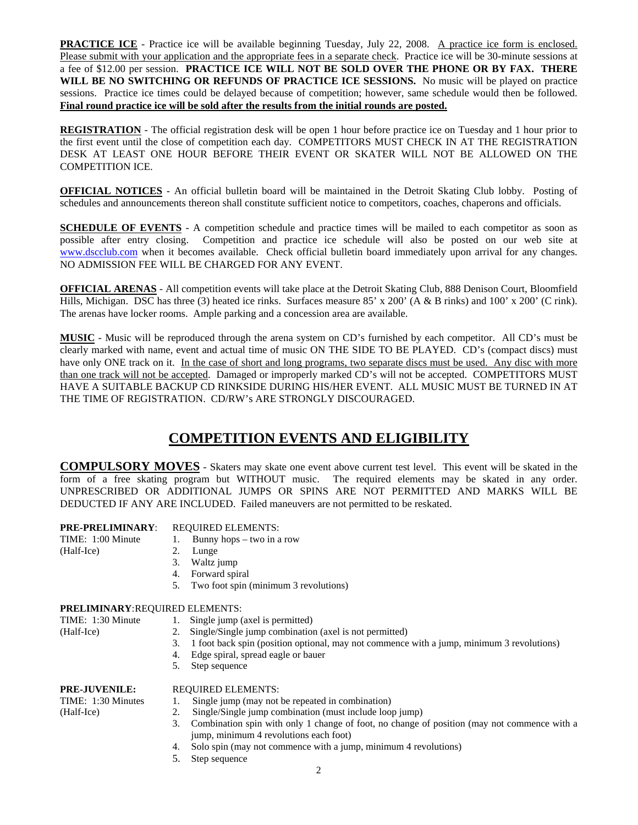**PRACTICE ICE** - Practice ice will be available beginning Tuesday, July 22, 2008. A practice ice form is enclosed. Please submit with your application and the appropriate fees in a separate check. Practice ice will be 30-minute sessions at a fee of \$12.00 per session. **PRACTICE ICE WILL NOT BE SOLD OVER THE PHONE OR BY FAX. THERE**  WILL BE NO SWITCHING OR REFUNDS OF PRACTICE ICE SESSIONS. No music will be played on practice sessions. Practice ice times could be delayed because of competition; however, same schedule would then be followed. **Final round practice ice will be sold after the results from the initial rounds are posted.**

**REGISTRATION** - The official registration desk will be open 1 hour before practice ice on Tuesday and 1 hour prior to the first event until the close of competition each day. COMPETITORS MUST CHECK IN AT THE REGISTRATION DESK AT LEAST ONE HOUR BEFORE THEIR EVENT OR SKATER WILL NOT BE ALLOWED ON THE COMPETITION ICE.

**OFFICIAL NOTICES** - An official bulletin board will be maintained in the Detroit Skating Club lobby. Posting of schedules and announcements thereon shall constitute sufficient notice to competitors, coaches, chaperons and officials.

**SCHEDULE OF EVENTS** - A competition schedule and practice times will be mailed to each competitor as soon as possible after entry closing. Competition and practice ice schedule will also be posted on our web site at www.dscclub.com when it becomes available. Check official bulletin board immediately upon arrival for any changes. NO ADMISSION FEE WILL BE CHARGED FOR ANY EVENT.

**OFFICIAL ARENAS** - All competition events will take place at the Detroit Skating Club, 888 Denison Court, Bloomfield Hills, Michigan. DSC has three (3) heated ice rinks. Surfaces measure 85' x 200' (A & B rinks) and 100' x 200' (C rink). The arenas have locker rooms. Ample parking and a concession area are available.

**MUSIC** - Music will be reproduced through the arena system on CD's furnished by each competitor. All CD's must be clearly marked with name, event and actual time of music ON THE SIDE TO BE PLAYED. CD's (compact discs) must have only ONE track on it. In the case of short and long programs, two separate discs must be used. Any disc with more than one track will not be accepted. Damaged or improperly marked CD's will not be accepted. COMPETITORS MUST HAVE A SUITABLE BACKUP CD RINKSIDE DURING HIS/HER EVENT. ALL MUSIC MUST BE TURNED IN AT THE TIME OF REGISTRATION. CD/RW's ARE STRONGLY DISCOURAGED.

#### **COMPETITION EVENTS AND ELIGIBILITY**

**COMPULSORY MOVES** - Skaters may skate one event above current test level. This event will be skated in the form of a free skating program but WITHOUT music. The required elements may be skated in any order. UNPRESCRIBED OR ADDITIONAL JUMPS OR SPINS ARE NOT PERMITTED AND MARKS WILL BE DEDUCTED IF ANY ARE INCLUDED. Failed maneuvers are not permitted to be reskated.

#### **PRE-PRELIMINARY**: REQUIRED ELEMENTS:

(Half-Ice) 2. Lunge

TIME: 1:00 Minute 1. Bunny hops – two in a row

- 
- 3. Waltz jump
- 4. Forward spiral
- 5. Two foot spin (minimum 3 revolutions)

#### **PRELIMINARY**: REQUIRED ELEMENTS:

- TIME: 1:30 Minute 1. Single jump (axel is permitted)
- (Half-Ice) 2. Single/Single jump combination (axel is not permitted)
	- 3. 1 foot back spin (position optional, may not commence with a jump, minimum 3 revolutions)
	- 4. Edge spiral, spread eagle or bauer
	- 5. Step sequence

#### **PRE-JUVENILE:** REQUIRED ELEMENTS:

- TIME: 1:30 Minutes 1. Single jump (may not be repeated in combination)
- (Half-Ice) 2. Single/Single jump combination (must include loop jump)
	- 3. Combination spin with only 1 change of foot, no change of position (may not commence with a jump, minimum 4 revolutions each foot)
	- 4. Solo spin (may not commence with a jump, minimum 4 revolutions)
	- 5. Step sequence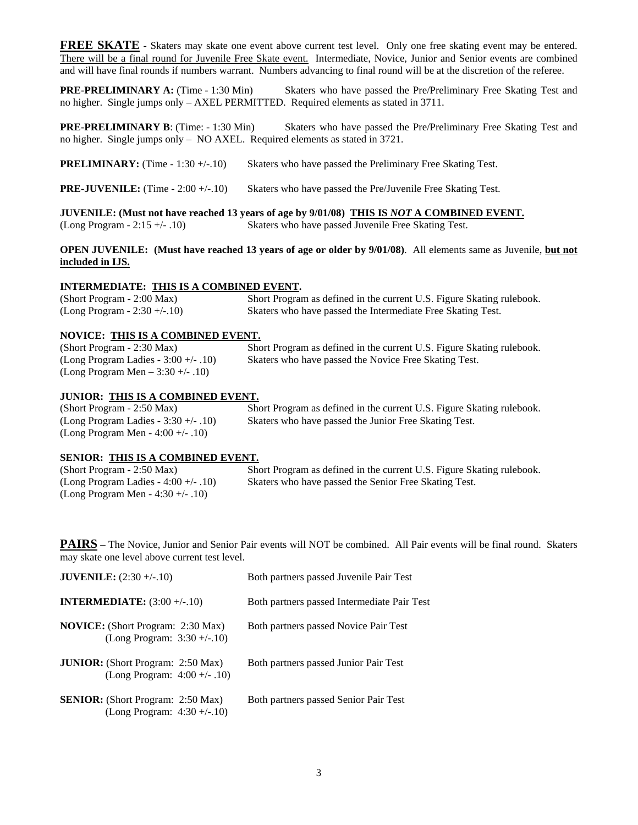**FREE SKATE** - Skaters may skate one event above current test level. Only one free skating event may be entered. There will be a final round for Juvenile Free Skate event. Intermediate, Novice, Junior and Senior events are combined and will have final rounds if numbers warrant. Numbers advancing to final round will be at the discretion of the referee.

**PRE-PRELIMINARY A:** (Time - 1:30 Min) Skaters who have passed the Pre/Preliminary Free Skating Test and no higher. Single jumps only – AXEL PERMITTED. Required elements as stated in 3711.

**PRE-PRELIMINARY B:** (Time: - 1:30 Min) Skaters who have passed the Pre/Preliminary Free Skating Test and no higher. Single jumps only – NO AXEL. Required elements as stated in 3721.

**PRELIMINARY:** (Time - 1:30 +/-.10) Skaters who have passed the Preliminary Free Skating Test.

**PRE-JUVENILE:** (Time - 2:00 +/-.10) Skaters who have passed the Pre/Juvenile Free Skating Test.

**JUVENILE: (Must not have reached 13 years of age by 9/01/08) THIS IS** *NOT* **A COMBINED EVENT.** (Long Program - 2:15 +/- .10) Skaters who have passed Juvenile Free Skating Test.

**OPEN JUVENILE: (Must have reached 13 years of age or older by 9/01/08)**. All elements same as Juvenile, **but not included in IJS.**

#### **INTERMEDIATE: THIS IS A COMBINED EVENT.**

(Short Program - 2:00 Max) Short Program as defined in the current U.S. Figure Skating rulebook. (Long Program - 2:30 +/-.10) Skaters who have passed the Intermediate Free Skating Test.

#### **NOVICE: THIS IS A COMBINED EVENT.**

(Long Program Men – 3:30 +/- .10)

(Short Program - 2:30 Max) Short Program as defined in the current U.S. Figure Skating rulebook. (Long Program Ladies - 3:00 +/- .10) Skaters who have passed the Novice Free Skating Test.

#### **JUNIOR: THIS IS A COMBINED EVENT.**

(Long Program Men - 4:00 +/- .10)

(Short Program - 2:50 Max) Short Program as defined in the current U.S. Figure Skating rulebook. (Long Program Ladies - 3:30 +/- .10) Skaters who have passed the Junior Free Skating Test.

#### **SENIOR: THIS IS A COMBINED EVENT.**

(Short Program - 2:50 Max) Short Program as defined in the current U.S. Figure Skating rulebook. (Long Program Ladies - 4:00 +/- .10) Skaters who have passed the Senior Free Skating Test. (Long Program Men - 4:30 +/- .10)

**PAIRS** – The Novice, Junior and Senior Pair events will NOT be combined. All Pair events will be final round. Skaters may skate one level above current test level.

| <b>JUVENILE:</b> $(2:30 +/-10)$                                             | Both partners passed Juvenile Pair Test     |
|-----------------------------------------------------------------------------|---------------------------------------------|
| <b>INTERMEDIATE:</b> $(3:00 +/-10)$                                         | Both partners passed Intermediate Pair Test |
| <b>NOVICE:</b> (Short Program: 2:30 Max)<br>(Long Program: $3:30 + (-10)$ ) | Both partners passed Novice Pair Test       |
| <b>JUNIOR:</b> (Short Program: 2:50 Max)<br>(Long Program: $4:00 +/- .10$ ) | Both partners passed Junior Pair Test       |
| <b>SENIOR:</b> (Short Program: 2:50 Max)<br>(Long Program: $4:30 + (-10)$ ) | Both partners passed Senior Pair Test       |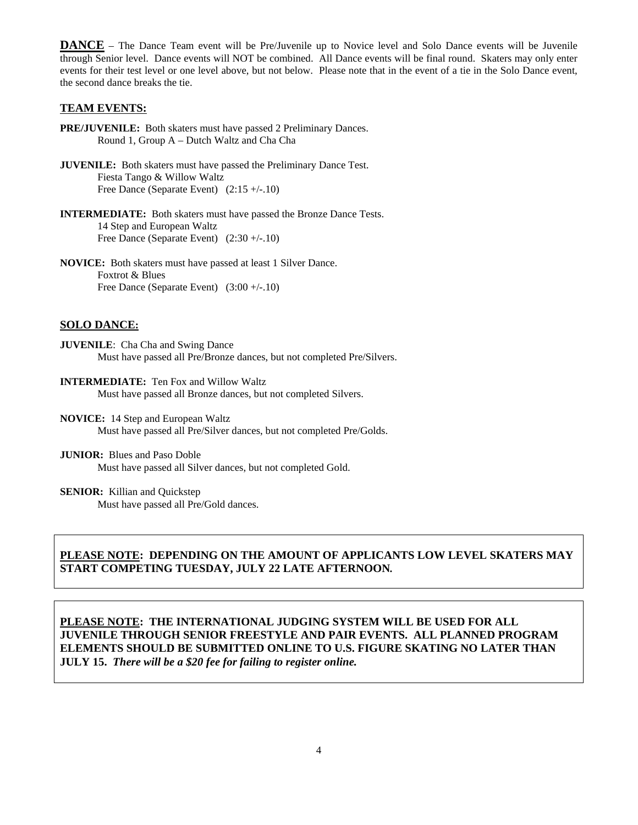**DANCE** – The Dance Team event will be Pre/Juvenile up to Novice level and Solo Dance events will be Juvenile through Senior level. Dance events will NOT be combined. All Dance events will be final round. Skaters may only enter events for their test level or one level above, but not below. Please note that in the event of a tie in the Solo Dance event, the second dance breaks the tie.

#### **TEAM EVENTS:**

- **PRE/JUVENILE:** Both skaters must have passed 2 Preliminary Dances. Round 1, Group A – Dutch Waltz and Cha Cha
- **JUVENILE:** Both skaters must have passed the Preliminary Dance Test. Fiesta Tango & Willow Waltz Free Dance (Separate Event) (2:15 +/-.10)
- **INTERMEDIATE:** Both skaters must have passed the Bronze Dance Tests. 14 Step and European Waltz Free Dance (Separate Event)  $(2:30 +/-10)$
- **NOVICE:** Both skaters must have passed at least 1 Silver Dance. Foxtrot & Blues Free Dance (Separate Event)  $(3:00 + (-10))$

#### **SOLO DANCE:**

- **JUVENILE**: Cha Cha and Swing Dance Must have passed all Pre/Bronze dances, but not completed Pre/Silvers.
- **INTERMEDIATE:** Ten Fox and Willow Waltz Must have passed all Bronze dances, but not completed Silvers.
- **NOVICE:** 14 Step and European Waltz Must have passed all Pre/Silver dances, but not completed Pre/Golds.
- **JUNIOR:** Blues and Paso Doble Must have passed all Silver dances, but not completed Gold.

**SENIOR:** Killian and Quickstep

Must have passed all Pre/Gold dances.

#### **PLEASE NOTE: DEPENDING ON THE AMOUNT OF APPLICANTS LOW LEVEL SKATERS MAY START COMPETING TUESDAY, JULY 22 LATE AFTERNOON***.*

**PLEASE NOTE: THE INTERNATIONAL JUDGING SYSTEM WILL BE USED FOR ALL JUVENILE THROUGH SENIOR FREESTYLE AND PAIR EVENTS. ALL PLANNED PROGRAM ELEMENTS SHOULD BE SUBMITTED ONLINE TO U.S. FIGURE SKATING NO LATER THAN JULY 15.** *There will be a \$20 fee for failing to register online.*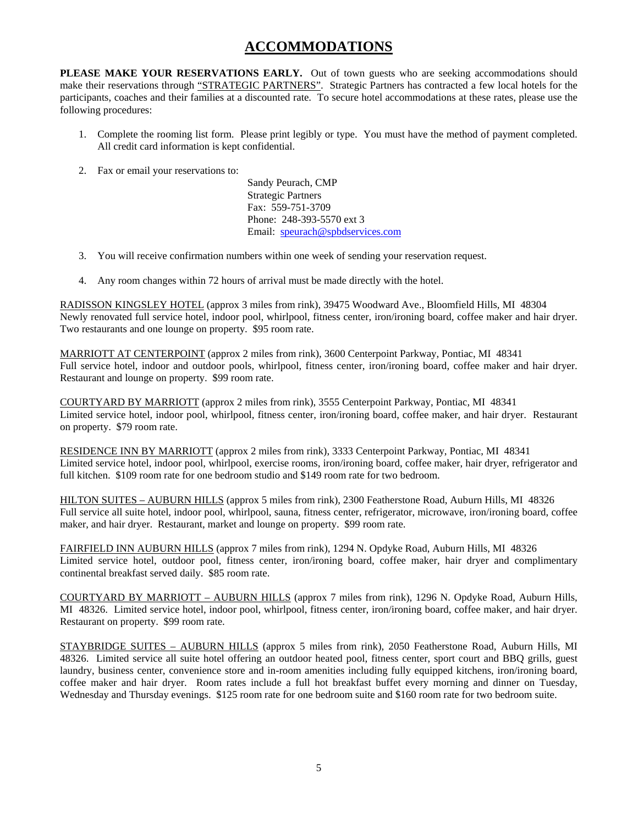#### **ACCOMMODATIONS**

**PLEASE MAKE YOUR RESERVATIONS EARLY.** Out of town guests who are seeking accommodations should make their reservations through "STRATEGIC PARTNERS". Strategic Partners has contracted a few local hotels for the participants, coaches and their families at a discounted rate. To secure hotel accommodations at these rates, please use the following procedures:

- 1. Complete the rooming list form. Please print legibly or type. You must have the method of payment completed. All credit card information is kept confidential.
- 2. Fax or email your reservations to:

Sandy Peurach, CMP Strategic Partners Fax: 559-751-3709 Phone: 248-393-5570 ext 3 Email: speurach@spbdservices.com

- 3. You will receive confirmation numbers within one week of sending your reservation request.
- 4. Any room changes within 72 hours of arrival must be made directly with the hotel.

RADISSON KINGSLEY HOTEL (approx 3 miles from rink), 39475 Woodward Ave., Bloomfield Hills, MI 48304 Newly renovated full service hotel, indoor pool, whirlpool, fitness center, iron/ironing board, coffee maker and hair dryer. Two restaurants and one lounge on property. \$95 room rate.

MARRIOTT AT CENTERPOINT (approx 2 miles from rink), 3600 Centerpoint Parkway, Pontiac, MI 48341 Full service hotel, indoor and outdoor pools, whirlpool, fitness center, iron/ironing board, coffee maker and hair dryer. Restaurant and lounge on property. \$99 room rate.

COURTYARD BY MARRIOTT (approx 2 miles from rink), 3555 Centerpoint Parkway, Pontiac, MI 48341 Limited service hotel, indoor pool, whirlpool, fitness center, iron/ironing board, coffee maker, and hair dryer. Restaurant on property. \$79 room rate.

RESIDENCE INN BY MARRIOTT (approx 2 miles from rink), 3333 Centerpoint Parkway, Pontiac, MI 48341 Limited service hotel, indoor pool, whirlpool, exercise rooms, iron/ironing board, coffee maker, hair dryer, refrigerator and full kitchen. \$109 room rate for one bedroom studio and \$149 room rate for two bedroom.

HILTON SUITES – AUBURN HILLS (approx 5 miles from rink), 2300 Featherstone Road, Auburn Hills, MI 48326 Full service all suite hotel, indoor pool, whirlpool, sauna, fitness center, refrigerator, microwave, iron/ironing board, coffee maker, and hair dryer. Restaurant, market and lounge on property. \$99 room rate.

FAIRFIELD INN AUBURN HILLS (approx 7 miles from rink), 1294 N. Opdyke Road, Auburn Hills, MI 48326 Limited service hotel, outdoor pool, fitness center, iron/ironing board, coffee maker, hair dryer and complimentary continental breakfast served daily. \$85 room rate.

COURTYARD BY MARRIOTT – AUBURN HILLS (approx 7 miles from rink), 1296 N. Opdyke Road, Auburn Hills, MI 48326. Limited service hotel, indoor pool, whirlpool, fitness center, iron/ironing board, coffee maker, and hair dryer. Restaurant on property. \$99 room rate.

STAYBRIDGE SUITES – AUBURN HILLS (approx 5 miles from rink), 2050 Featherstone Road, Auburn Hills, MI 48326. Limited service all suite hotel offering an outdoor heated pool, fitness center, sport court and BBQ grills, guest laundry, business center, convenience store and in-room amenities including fully equipped kitchens, iron/ironing board, coffee maker and hair dryer. Room rates include a full hot breakfast buffet every morning and dinner on Tuesday, Wednesday and Thursday evenings. \$125 room rate for one bedroom suite and \$160 room rate for two bedroom suite.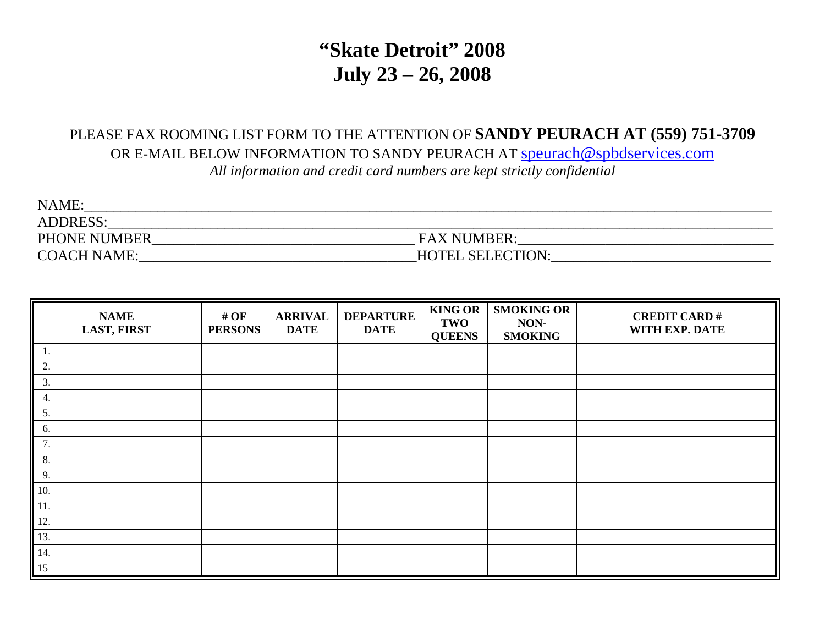# **"Skate Detroit" 2008 July 23 – 26, 2008**

### PLEASE FAX ROOMING LIST FORM TO THE ATTENTION OF **SANDY PEURACH AT (559) 751-3709** OR E-MAIL BELOW INFORMATION TO SANDY PEURACH AT speurach@spbdservices.com *All information and credit card numbers are kept strictly confidential*

| NAME:               |                         |  |
|---------------------|-------------------------|--|
| <b>ADDRESS:</b>     |                         |  |
| <b>PHONE NUMBER</b> | <b>FAX NUMBER:</b>      |  |
| <b>COACH NAME:</b>  | <b>HOTEL SELECTION:</b> |  |

| <b>NAME</b><br><b>LAST, FIRST</b> | # $OF$<br><b>PERSONS</b> | <b>ARRIVAL</b><br><b>DATE</b> | <b>DEPARTURE</b><br><b>DATE</b> | <b>KING OR</b><br><b>TWO</b><br><b>QUEENS</b> | <b>SMOKING OR</b><br>NON-<br><b>SMOKING</b> | <b>CREDIT CARD#</b><br>WITH EXP. DATE |
|-----------------------------------|--------------------------|-------------------------------|---------------------------------|-----------------------------------------------|---------------------------------------------|---------------------------------------|
|                                   |                          |                               |                                 |                                               |                                             |                                       |
| 2.                                |                          |                               |                                 |                                               |                                             |                                       |
| 3.                                |                          |                               |                                 |                                               |                                             |                                       |
| 4.                                |                          |                               |                                 |                                               |                                             |                                       |
| 5.                                |                          |                               |                                 |                                               |                                             |                                       |
| 6.                                |                          |                               |                                 |                                               |                                             |                                       |
| 7.                                |                          |                               |                                 |                                               |                                             |                                       |
| 8.                                |                          |                               |                                 |                                               |                                             |                                       |
| 9.                                |                          |                               |                                 |                                               |                                             |                                       |
| 10.                               |                          |                               |                                 |                                               |                                             |                                       |
| $\parallel$ 11.                   |                          |                               |                                 |                                               |                                             |                                       |
| 12.                               |                          |                               |                                 |                                               |                                             |                                       |
| 13.                               |                          |                               |                                 |                                               |                                             |                                       |
| $\vert$ 14.                       |                          |                               |                                 |                                               |                                             |                                       |
| $\parallel$ 15                    |                          |                               |                                 |                                               |                                             |                                       |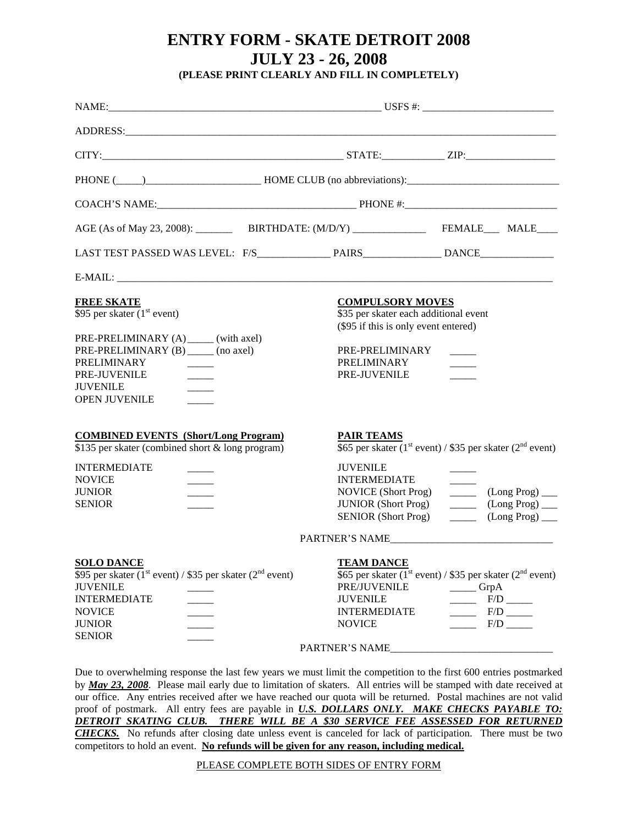## **ENTRY FORM - SKATE DETROIT 2008 JULY 23 - 26, 2008**

**(PLEASE PRINT CLEARLY AND FILL IN COMPLETELY)** 

| ADDRESS: ANDRESS:                                                                                                                                                                                              |                                                                                                                                                                                                       |                                                                                                                                                                                                                                                                                                                                                                                                                                                                                                                                                                                                                                          |  |  |  |  |
|----------------------------------------------------------------------------------------------------------------------------------------------------------------------------------------------------------------|-------------------------------------------------------------------------------------------------------------------------------------------------------------------------------------------------------|------------------------------------------------------------------------------------------------------------------------------------------------------------------------------------------------------------------------------------------------------------------------------------------------------------------------------------------------------------------------------------------------------------------------------------------------------------------------------------------------------------------------------------------------------------------------------------------------------------------------------------------|--|--|--|--|
|                                                                                                                                                                                                                |                                                                                                                                                                                                       |                                                                                                                                                                                                                                                                                                                                                                                                                                                                                                                                                                                                                                          |  |  |  |  |
|                                                                                                                                                                                                                |                                                                                                                                                                                                       |                                                                                                                                                                                                                                                                                                                                                                                                                                                                                                                                                                                                                                          |  |  |  |  |
|                                                                                                                                                                                                                |                                                                                                                                                                                                       |                                                                                                                                                                                                                                                                                                                                                                                                                                                                                                                                                                                                                                          |  |  |  |  |
|                                                                                                                                                                                                                |                                                                                                                                                                                                       |                                                                                                                                                                                                                                                                                                                                                                                                                                                                                                                                                                                                                                          |  |  |  |  |
|                                                                                                                                                                                                                |                                                                                                                                                                                                       |                                                                                                                                                                                                                                                                                                                                                                                                                                                                                                                                                                                                                                          |  |  |  |  |
|                                                                                                                                                                                                                |                                                                                                                                                                                                       |                                                                                                                                                                                                                                                                                                                                                                                                                                                                                                                                                                                                                                          |  |  |  |  |
| <b>FREE SKATE</b><br>\$95 per skater $(1st event)$<br>PRE-PRELIMINARY (A) ______ (with axel)<br>PRE-PRELIMINARY (B) (no axel)<br><b>PRELIMINARY</b><br>PRE-JUVENILE<br><b>JUVENILE</b><br><b>OPEN JUVENILE</b> | <b>COMPULSORY MOVES</b><br>\$35 per skater each additional event<br>(\$95 if this is only event entered)<br>PRE-PRELIMINARY<br>PRELIMINARY<br>PRE-JUVENILE                                            |                                                                                                                                                                                                                                                                                                                                                                                                                                                                                                                                                                                                                                          |  |  |  |  |
| <b>COMBINED EVENTS</b> (Short/Long Program)<br>\$135 per skater (combined short & long program)                                                                                                                | <b>PAIR TEAMS</b><br>\$65 per skater (1 <sup>st</sup> event) / \$35 per skater (2 <sup>nd</sup> event)                                                                                                |                                                                                                                                                                                                                                                                                                                                                                                                                                                                                                                                                                                                                                          |  |  |  |  |
| <b>INTERMEDIATE</b><br><b>NOVICE</b><br><b>JUNIOR</b><br><b>SENIOR</b>                                                                                                                                         | <b>JUVENILE</b><br><b>INTERMEDIATE</b><br><b>NOVICE</b> (Short Prog)<br><b>JUNIOR</b> (Short Prog)<br><b>SENIOR</b> (Short Prog)                                                                      | $\frac{1}{1}$<br>$(Long Prog)$ <sub>___</sub><br>$\frac{1}{2} \left( \frac{1}{2} \right) \left( \frac{1}{2} \right) \left( \frac{1}{2} \right) \left( \frac{1}{2} \right) \left( \frac{1}{2} \right) \left( \frac{1}{2} \right) \left( \frac{1}{2} \right) \left( \frac{1}{2} \right) \left( \frac{1}{2} \right) \left( \frac{1}{2} \right) \left( \frac{1}{2} \right) \left( \frac{1}{2} \right) \left( \frac{1}{2} \right) \left( \frac{1}{2} \right) \left( \frac{1}{2} \right) \left( \frac{1}{2} \right) \left( \frac$<br>$(Long Prog)$ <sub>___</sub><br>$\overline{\phantom{a}}$<br>$(Long Prog)$ <sub>___</sub><br>$\frac{1}{2}$ |  |  |  |  |
| <b>SOLO DANCE</b><br>\$95 per skater (1 <sup>st</sup> event) / \$35 per skater (2 <sup>nd</sup> event)<br><b>JUVENILE</b><br><b>INTERMEDIATE</b><br><b>NOVICE</b><br><b>JUNIOR</b>                             | PARTNER'S NAME<br><b>TEAM DANCE</b><br>\$65 per skater ( $1^{\text{st}}$ event) / \$35 per skater ( $2^{\text{nd}}$ event)<br>PRE/JUVENILE<br><b>JUVENILE</b><br><b>INTERMEDIATE</b><br><b>NOVICE</b> | $\frac{1}{\sqrt{1-\frac{1}{2}}}$ GrpA<br>$\frac{F}{D}$<br>$\frac{F}{D}$<br>$\frac{F}{D}$                                                                                                                                                                                                                                                                                                                                                                                                                                                                                                                                                 |  |  |  |  |
| <b>SENIOR</b>                                                                                                                                                                                                  |                                                                                                                                                                                                       |                                                                                                                                                                                                                                                                                                                                                                                                                                                                                                                                                                                                                                          |  |  |  |  |

Due to overwhelming response the last few years we must limit the competition to the first 600 entries postmarked by *May 23, 2008*. Please mail early due to limitation of skaters. All entries will be stamped with date received at our office. Any entries received after we have reached our quota will be returned. Postal machines are not valid proof of postmark. All entry fees are payable in *U.S. DOLLARS ONLY. MAKE CHECKS PAYABLE TO: DETROIT SKATING CLUB. THERE WILL BE A \$30 SERVICE FEE ASSESSED FOR RETURNED CHECKS.* No refunds after closing date unless event is canceled for lack of participation. There must be two competitors to hold an event. **No refunds will be given for any reason, including medical.**

#### PLEASE COMPLETE BOTH SIDES OF ENTRY FORM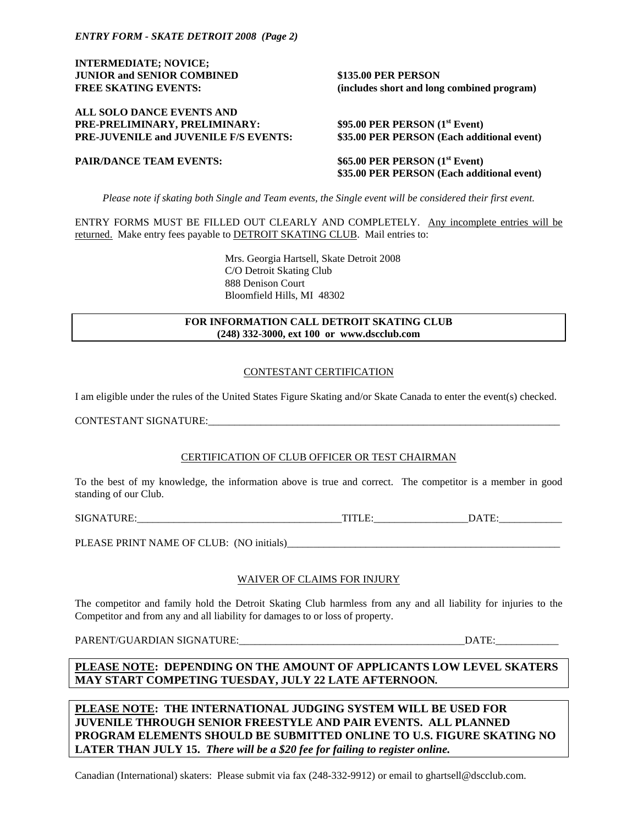**INTERMEDIATE; NOVICE; JUNIOR and SENIOR COMBINED \$135.00 PER PERSON** 

**ALL SOLO DANCE EVENTS AND**  PRE-PRELIMINARY, PRELIMINARY: **PRE-JUVENILE and JUVENILE F/S EVENTS: \$35.00 PER PERSON (Each additional event)** 

**FREE SKATING EVENTS: (includes short and long combined program)** 

**\$95.00 PER PERSON (1<sup>st</sup> Event)** 

**PAIR/DANCE TEAM EVENTS:** \$65.00 PER PERSON (1<sup>st</sup> Event)  **\$35.00 PER PERSON (Each additional event)** 

*Please note if skating both Single and Team events, the Single event will be considered their first event.* 

ENTRY FORMS MUST BE FILLED OUT CLEARLY AND COMPLETELY. Any incomplete entries will be returned. Make entry fees payable to DETROIT SKATING CLUB. Mail entries to:

> Mrs. Georgia Hartsell, Skate Detroit 2008 C/O Detroit Skating Club 888 Denison Court Bloomfield Hills, MI 48302

#### **FOR INFORMATION CALL DETROIT SKATING CLUB (248) 332-3000, ext 100 or www.dscclub.com**

#### CONTESTANT CERTIFICATION

I am eligible under the rules of the United States Figure Skating and/or Skate Canada to enter the event(s) checked.

CONTESTANT SIGNATURE:

#### CERTIFICATION OF CLUB OFFICER OR TEST CHAIRMAN

To the best of my knowledge, the information above is true and correct. The competitor is a member in good standing of our Club.

SIGNATURE: TITLE: DATE:

PLEASE PRINT NAME OF CLUB: (NO initials)\_\_\_\_\_\_\_\_\_\_\_\_\_\_\_\_\_\_\_\_\_\_\_\_\_\_\_\_\_\_\_\_\_\_\_\_\_\_\_\_\_\_\_\_\_\_\_\_\_\_\_\_

#### WAIVER OF CLAIMS FOR INJURY

The competitor and family hold the Detroit Skating Club harmless from any and all liability for injuries to the Competitor and from any and all liability for damages to or loss of property.

PARENT/GUARDIAN SIGNATURE:\_\_\_\_\_\_\_\_\_\_\_\_\_\_\_\_\_\_\_\_\_\_\_\_\_\_\_\_\_\_\_\_\_\_\_\_\_\_\_\_\_\_\_DATE:\_\_\_\_\_\_\_\_\_\_\_\_

**PLEASE NOTE: DEPENDING ON THE AMOUNT OF APPLICANTS LOW LEVEL SKATERS MAY START COMPETING TUESDAY, JULY 22 LATE AFTERNOON***.* 

**PLEASE NOTE: THE INTERNATIONAL JUDGING SYSTEM WILL BE USED FOR JUVENILE THROUGH SENIOR FREESTYLE AND PAIR EVENTS. ALL PLANNED PROGRAM ELEMENTS SHOULD BE SUBMITTED ONLINE TO U.S. FIGURE SKATING NO LATER THAN JULY 15.** *There will be a \$20 fee for failing to register online.* 

Canadian (International) skaters: Please submit via fax (248-332-9912) or email to ghartsell@dscclub.com.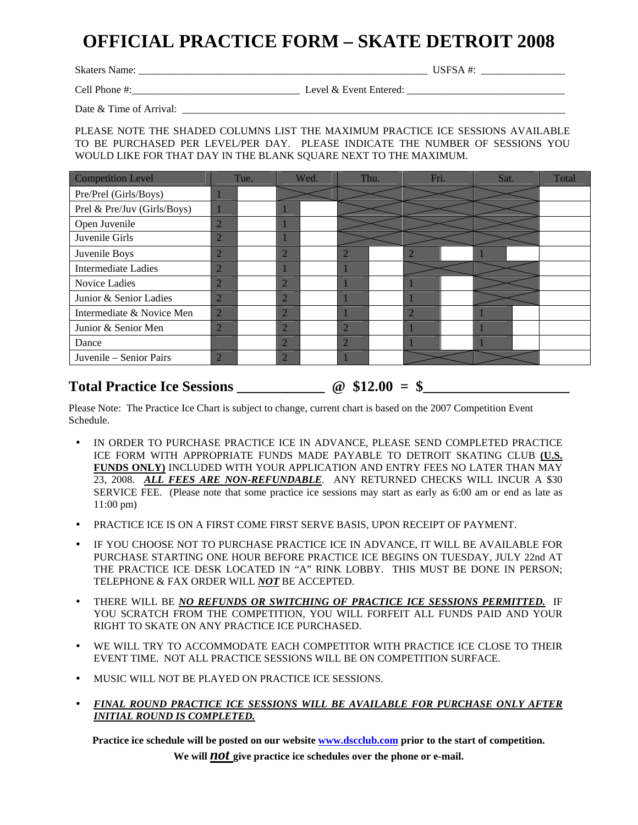## **OFFICIAL PRACTICE FORM – SKATE DETROIT 2008**

Skaters Name: \_\_\_\_\_\_\_\_\_\_\_\_\_\_\_\_\_\_\_\_\_\_\_\_\_\_\_\_\_\_\_\_\_\_\_\_\_\_\_\_\_\_\_\_\_\_\_\_\_\_\_\_\_\_\_ USFSA #: \_\_\_\_\_\_\_\_\_\_\_\_\_\_\_\_

Cell Phone #:\_\_\_\_\_\_\_\_\_\_\_\_\_\_\_\_\_\_\_\_\_\_\_\_\_\_\_\_\_\_\_\_ Level & Event Entered: \_\_\_\_\_\_\_\_\_\_\_\_\_\_\_\_\_\_\_\_\_\_\_\_\_\_\_\_\_\_

Date & Time of Arrival:

PLEASE NOTE THE SHADED COLUMNS LIST THE MAXIMUM PRACTICE ICE SESSIONS AVAILABLE TO BE PURCHASED PER LEVEL/PER DAY. PLEASE INDICATE THE NUMBER OF SESSIONS YOU WOULD LIKE FOR THAT DAY IN THE BLANK SQUARE NEXT TO THE MAXIMUM.

| <b>Competition Level</b>    | Tue.           | Wed.           |  | Thu.           |  | Fri. |  | Sat. |  | Total |
|-----------------------------|----------------|----------------|--|----------------|--|------|--|------|--|-------|
| Pre/Prel (Girls/Boys)       |                |                |  |                |  |      |  |      |  |       |
| Prel & Pre/Juv (Girls/Boys) |                |                |  |                |  |      |  |      |  |       |
| Open Juvenile               | 2              |                |  |                |  |      |  |      |  |       |
| Juvenile Girls              | 2              |                |  |                |  |      |  |      |  |       |
| Juvenile Boys               | 2              | $\overline{2}$ |  |                |  |      |  |      |  |       |
| <b>Intermediate Ladies</b>  | $\overline{2}$ |                |  |                |  |      |  |      |  |       |
| Novice Ladies               | $\overline{2}$ | $\overline{2}$ |  |                |  |      |  |      |  |       |
| Junior & Senior Ladies      | $\overline{2}$ | $\overline{2}$ |  |                |  |      |  |      |  |       |
| Intermediate & Novice Men   | $\overline{2}$ | $\overline{2}$ |  |                |  | 2    |  |      |  |       |
| Junior & Senior Men         | $\overline{2}$ | $\overline{2}$ |  | $\mathcal{D}$  |  |      |  |      |  |       |
| Dance                       |                | $\overline{2}$ |  | $\overline{2}$ |  |      |  |      |  |       |
| Juvenile – Senior Pairs     | $\overline{2}$ | $\overline{2}$ |  |                |  |      |  |      |  |       |

#### **Total Practice Ice Sessions \_\_\_\_\_\_\_\_\_\_\_\_ @ \$12.00 = \$\_\_\_\_\_\_\_\_\_\_\_\_\_\_\_\_\_\_\_\_**

Please Note: The Practice Ice Chart is subject to change, current chart is based on the 2007 Competition Event Schedule.

- IN ORDER TO PURCHASE PRACTICE ICE IN ADVANCE, PLEASE SEND COMPLETED PRACTICE ICE FORM WITH APPROPRIATE FUNDS MADE PAYABLE TO DETROIT SKATING CLUB **(U.S. FUNDS ONLY)** INCLUDED WITH YOUR APPLICATION AND ENTRY FEES NO LATER THAN MAY 23, 2008. *ALL FEES ARE NON-REFUNDABLE*. ANY RETURNED CHECKS WILL INCUR A \$30 SERVICE FEE. (Please note that some practice ice sessions may start as early as 6:00 am or end as late as 11:00 pm)
- PRACTICE ICE IS ON A FIRST COME FIRST SERVE BASIS, UPON RECEIPT OF PAYMENT.
- IF YOU CHOOSE NOT TO PURCHASE PRACTICE ICE IN ADVANCE, IT WILL BE AVAILABLE FOR PURCHASE STARTING ONE HOUR BEFORE PRACTICE ICE BEGINS ON TUESDAY, JULY 22nd AT THE PRACTICE ICE DESK LOCATED IN "A" RINK LOBBY. THIS MUST BE DONE IN PERSON; TELEPHONE & FAX ORDER WILL *NOT* BE ACCEPTED.
- THERE WILL BE *NO REFUNDS OR SWITCHING OF PRACTICE ICE SESSIONS PERMITTED.* IF YOU SCRATCH FROM THE COMPETITION, YOU WILL FORFEIT ALL FUNDS PAID AND YOUR RIGHT TO SKATE ON ANY PRACTICE ICE PURCHASED.
- WE WILL TRY TO ACCOMMODATE EACH COMPETITOR WITH PRACTICE ICE CLOSE TO THEIR EVENT TIME. NOT ALL PRACTICE SESSIONS WILL BE ON COMPETITION SURFACE.
- MUSIC WILL NOT BE PLAYED ON PRACTICE ICE SESSIONS.
- *FINAL ROUND PRACTICE ICE SESSIONS WILL BE AVAILABLE FOR PURCHASE ONLY AFTER INITIAL ROUND IS COMPLETED.*

**Practice ice schedule will be posted on our website www.dscclub.com prior to the start of competition.** 

**We will** *not* **give practice ice schedules over the phone or e-mail.**